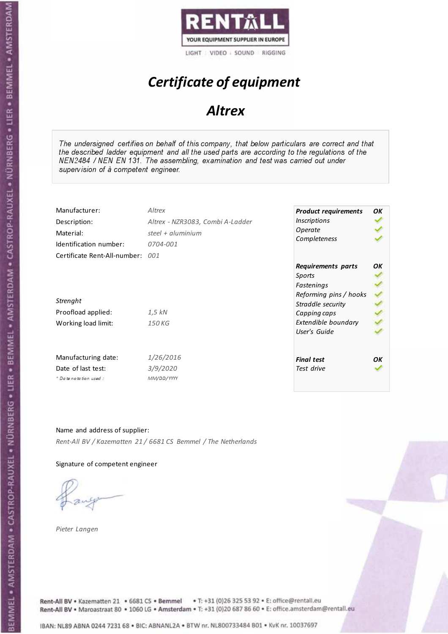

# Certificate of equipment

## **Altrex**

The undersigned certifies on behalf of this company, that below particulars are correct and that the described ladder equipment and all the used parts are according to the regulations of the NEN2484 / NEN EN 131. The assembling, examination and test was carried out under supervision of à competent engineer.

| Manufacturer:<br>Description:<br>Material:<br>Identification number: | Altrex<br>Altrex - NZR3083, Combi A-Ladder<br>steel + $aluminim$<br>0704-001 | <b>Product requirements</b><br><i><u><b>Inscriptions</b></u></i><br>Operate<br>Completeness               | OK |
|----------------------------------------------------------------------|------------------------------------------------------------------------------|-----------------------------------------------------------------------------------------------------------|----|
| Certificate Rent-All-number:<br>Strenght<br>Proofload applied:       | 001<br>1,5 kN                                                                | Requirements parts<br>Sports<br>Fastenings<br>Reforming pins / hooks<br>Straddle security<br>Capping caps | OΚ |
| Working load limit:                                                  | 150 KG                                                                       | Extendible boundary<br>User's Guide                                                                       |    |
| Manufacturing date:                                                  | 1/26/2016                                                                    | <b>Final test</b>                                                                                         | OΚ |
| Date of last test:<br>* Date notation used:                          | 3/9/2020<br>MM/DD/YYYY                                                       | Test drive                                                                                                |    |

Name and address of supplier: Rent-All BV / Kazematten 21 / 6681 CS Bemmel / The Netherlands

Signature of competent engineer

Pieter Langen



Rent-All BV . Kazematten 21 . 6681 CS . Bemmel . T: +31 (0)26 325 53 92 . E: office@rentall.eu Rent-All BV · Maroastraat 80 · 1060 LG · Amsterdam · T: +31 (0)20 687 86 60 · E: office.amsterdam@rentall.eu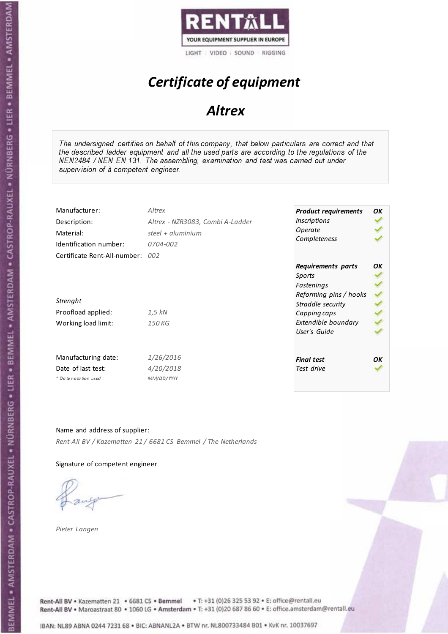

# Certificate of equipment

## **Altrex**

The undersigned certifies on behalf of this company, that below particulars are correct and that the described ladder equipment and all the used parts are according to the regulations of the NEN2484 / NEN EN 131. The assembling, examination and test was carried out under supervision of à competent engineer.

| Manufacturer:<br>Description:<br>Material:<br>Identification number: | Altrex<br>Altrex - NZR3083, Combi A-Ladder<br>steel + $aluminium$<br>0704-002 | <b>Product requirements</b><br><b>Inscriptions</b><br>Operate<br>Completeness                             | OK |
|----------------------------------------------------------------------|-------------------------------------------------------------------------------|-----------------------------------------------------------------------------------------------------------|----|
| Certificate Rent-All-number: 002<br>Strenght<br>Proofload applied:   | 1,5 kN                                                                        | Requirements parts<br>Sports<br>Fastenings<br>Reforming pins / hooks<br>Straddle security<br>Capping caps | OK |
| Working load limit:                                                  | 150 KG                                                                        | Extendible boundary<br>User's Guide                                                                       |    |
| Manufacturing date:                                                  | 1/26/2016                                                                     | <b>Final test</b>                                                                                         | OΚ |
| Date of last test:<br>* Date notation used:                          | 4/20/2018<br>MM/DD/YYYY                                                       | Test drive                                                                                                |    |

Name and address of supplier: Rent-All BV / Kazematten 21 / 6681 CS Bemmel / The Netherlands

Signature of competent engineer

Pieter Langen



Rent-All BV . Kazematten 21 . 6681 CS . Bemmel . T: +31 (0)26 325 53 92 . E: office@rentall.eu Rent-All BV · Maroastraat 80 · 1060 LG · Amsterdam · T: +31 (0)20 687 86 60 · E: office.amsterdam@rentall.eu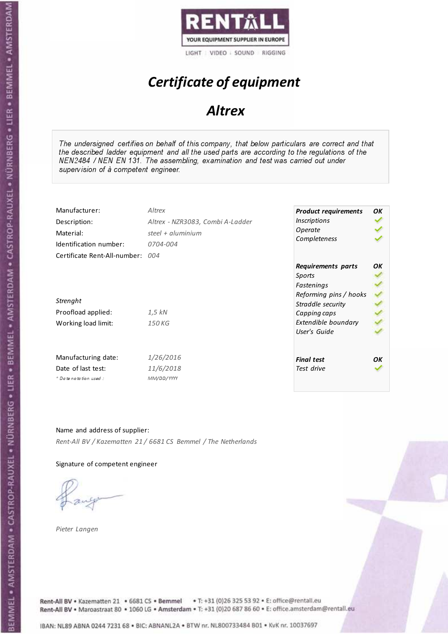

# Certificate of equipment

## **Altrex**

The undersigned certifies on behalf of this company, that below particulars are correct and that the described ladder equipment and all the used parts are according to the regulations of the NEN2484 / NEN EN 131. The assembling, examination and test was carried out under supervision of à competent engineer.

| Manufacturer:<br>Description:<br>Material:<br>Identification number:                  | Altrex<br>Altrex - NZR3083, Combi A-Ladder<br>steel + $aluminium$<br>0704-004 | <b>Product requirements</b><br><b>Inscriptions</b><br>Operate<br>Completeness                                                                    | OK |
|---------------------------------------------------------------------------------------|-------------------------------------------------------------------------------|--------------------------------------------------------------------------------------------------------------------------------------------------|----|
| Certificate Rent-All-number:<br>Strenght<br>Proofload applied:<br>Working load limit: | 004<br>$1.5$ kN<br>150 KG                                                     | Requirements parts<br>Sports<br>Fastenings<br>Reforming pins / hooks<br>Straddle security<br>Capping caps<br>Extendible boundary<br>User's Guide | OΚ |
| Manufacturing date:<br>Date of last test:<br>* Date notation used:                    | 1/26/2016<br>11/6/2018<br>MM/DD/YYYY                                          | <b>Final test</b><br>Test drive                                                                                                                  | OΚ |

Name and address of supplier: Rent-All BV / Kazematten 21 / 6681 CS Bemmel / The Netherlands

Signature of competent engineer

Pieter Langen



Rent-All BV . Kazematten 21 . 6681 CS . Bemmel . T: +31 (0)26 325 53 92 . E: office@rentall.eu Rent-All BV · Maroastraat 80 · 1060 LG · Amsterdam · T: +31 (0)20 687 86 60 · E: office.amsterdam@rentall.eu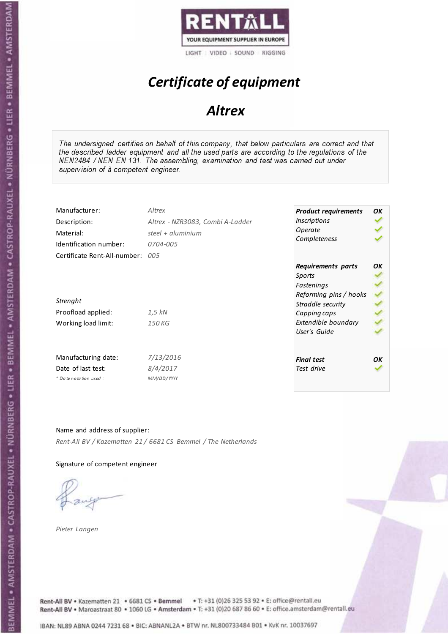

# Certificate of equipment

## **Altrex**

The undersigned certifies on behalf of this company, that below particulars are correct and that the described ladder equipment and all the used parts are according to the regulations of the NEN2484 / NEN EN 131. The assembling, examination and test was carried out under supervision of à competent engineer.

| Manufacturer:<br>Description:<br>Material:<br>Identification number: | Altrex<br>Altrex - NZR3083, Combi A-Ladder<br>steel + aluminium<br>0704-005 | <b>Product requirements</b><br><b>Inscriptions</b><br>Operate<br>Completeness                             | OK |
|----------------------------------------------------------------------|-----------------------------------------------------------------------------|-----------------------------------------------------------------------------------------------------------|----|
| Certificate Rent-All-number: 005<br>Strenght<br>Proofload applied:   | 1,5 kN                                                                      | Requirements parts<br>Sports<br>Fastenings<br>Reforming pins / hooks<br>Straddle security<br>Capping caps | OK |
| Working load limit:                                                  | 150 KG                                                                      | Extendible boundary<br>User's Guide                                                                       |    |
| Manufacturing date:<br>Date of last test:<br>+ Date notation used:   | 7/13/2016<br>8/4/2017<br>MM/DD/YYYY                                         | <b>Final test</b><br>Test drive                                                                           | OK |

Name and address of supplier: Rent-All BV / Kazematten 21 / 6681 CS Bemmel / The Netherlands

Signature of competent engineer

Pieter Langen



Rent-All BV . Kazematten 21 . 6681 CS . Bemmel . T: +31 (0)26 325 53 92 . E: office@rentall.eu Rent-All BV · Maroastraat 80 · 1060 LG · Amsterdam · T: +31 (0)20 687 86 60 · E: office.amsterdam@rentall.eu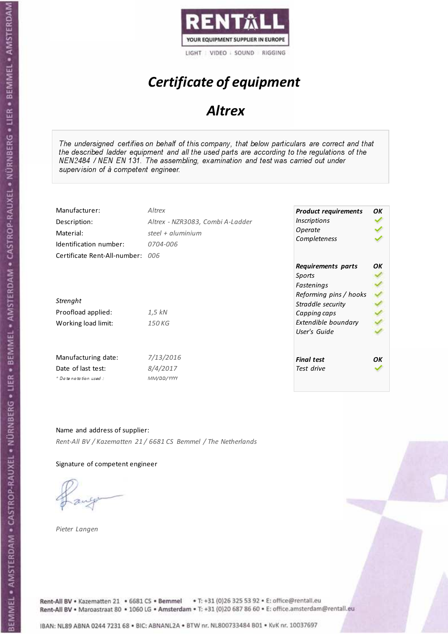

# Certificate of equipment

## **Altrex**

The undersigned certifies on behalf of this company, that below particulars are correct and that the described ladder equipment and all the used parts are according to the regulations of the NEN2484 / NEN EN 131. The assembling, examination and test was carried out under supervision of à competent engineer.

| Manufacturer:                                                                             | Altrex                           | <b>Product requirements</b>                                                                                                      | OK |
|-------------------------------------------------------------------------------------------|----------------------------------|----------------------------------------------------------------------------------------------------------------------------------|----|
| Description:                                                                              | Altrex - NZR3083, Combi A-Ladder | <b>Inscriptions</b>                                                                                                              |    |
| Material:                                                                                 | steel + $aluminim$               | Operate                                                                                                                          |    |
| Identification number:                                                                    | 0704-006                         | Completeness                                                                                                                     |    |
| Certificate Rent-All-number: 006<br>Strenght<br>Proofload applied:<br>Working load limit: | 1,5 kN<br>150 KG                 | Requirements parts<br>Sports<br>Fastenings<br>Reforming pins / hooks<br>Straddle security<br>Capping caps<br>Extendible boundary | OK |
| Manufacturing date:                                                                       | 7/13/2016                        | User's Guide                                                                                                                     | OK |
| Date of last test:                                                                        | 8/4/2017                         | <b>Final test</b>                                                                                                                |    |
| $+$ Date notation used:                                                                   | MM/DD/YYYY                       | Test drive                                                                                                                       |    |

Name and address of supplier: Rent-All BV / Kazematten 21 / 6681 CS Bemmel / The Netherlands

Signature of competent engineer

Pieter Langen



Rent-All BV . Kazematten 21 . 6681 CS . Bemmel . T: +31 (0)26 325 53 92 . E: office@rentall.eu Rent-All BV · Maroastraat 80 · 1060 LG · Amsterdam · T: +31 (0)20 687 86 60 · E: office.amsterdam@rentall.eu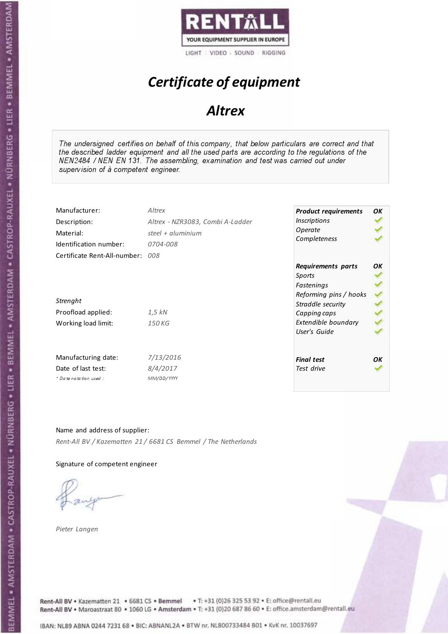

# Certificate of equipment

## **Altrex**

The undersigned certifies on behalf of this company, that below particulars are correct and that the described ladder equipment and all the used parts are according to the regulations of the NEN2484 / NEN EN 131. The assembling, examination and test was carried out under supervision of à competent engineer.

| Manufacturer:<br>Description:<br>Material:<br>Identification number: | Altrex<br>Altrex - NZR3083, Combi A-Ladder<br>steel + $aluminim$<br>0704-008 | <b>Product requirements</b><br><b>Inscriptions</b><br>Operate<br>Completeness | OK |
|----------------------------------------------------------------------|------------------------------------------------------------------------------|-------------------------------------------------------------------------------|----|
| Certificate Rent-All-number:                                         | 008                                                                          | Requirements parts<br>Sports<br>Fastenings<br>Reforming pins / hooks          | OΚ |
| Strenght                                                             |                                                                              | Straddle security                                                             |    |
| Proofload applied:                                                   | 1,5 kN                                                                       | Capping caps                                                                  |    |
| Working load limit:                                                  | 150 KG                                                                       | Extendible boundary<br>User's Guide                                           |    |
| Manufacturing date:                                                  | 7/13/2016                                                                    | <b>Final test</b>                                                             | ΟK |
| Date of last test:<br>$*$ Date notation used:                        | 8/4/2017<br>MM/DD/YYYY                                                       | Test drive                                                                    |    |
|                                                                      |                                                                              |                                                                               |    |

Name and address of supplier: Rent-All BV / Kazematten 21 / 6681 CS Bemmel / The Netherlands

Signature of competent engineer

Pieter Langen

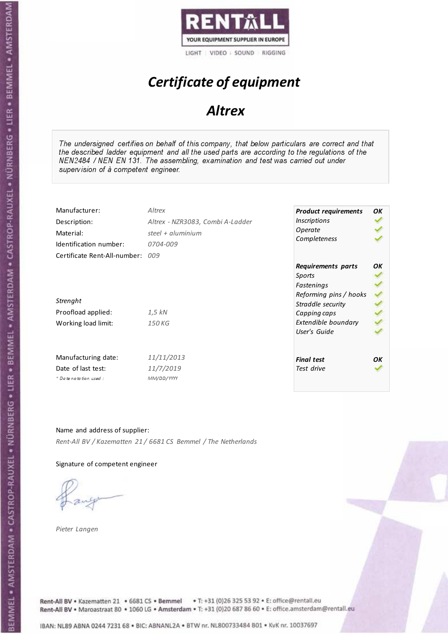

# Certificate of equipment

## **Altrex**

The undersigned certifies on behalf of this company, that below particulars are correct and that the described ladder equipment and all the used parts are according to the regulations of the NEN2484 / NEN EN 131. The assembling, examination and test was carried out under supervision of à competent engineer.

| Manufacturer:<br>Description:<br>Material:<br>Identification number: | Altrex<br>Altrex - NZR3083, Combi A-Ladder<br>steel + aluminium<br>0704-009 | <b>Product requirements</b><br><b>Inscriptions</b><br>Operate<br>Completeness | OK |
|----------------------------------------------------------------------|-----------------------------------------------------------------------------|-------------------------------------------------------------------------------|----|
| Certificate Rent-All-number:                                         | nn9                                                                         | Requirements parts<br>Sports<br>Fastenings<br>Reforming pins / hooks          | OΚ |
| Strenght                                                             |                                                                             | Straddle security                                                             |    |
| Proofload applied:                                                   | 1,5 kN                                                                      | Capping caps                                                                  |    |
| Working load limit:                                                  | 150 KG                                                                      | Extendible boundary<br>User's Guide                                           |    |
| Manufacturing date:                                                  | 11/11/2013                                                                  | <b>Final test</b>                                                             | OK |
| Date of last test:<br>$+$ Date notation used:                        | 11/7/2019<br>MM/DD/YYYY                                                     | Test drive                                                                    |    |
|                                                                      |                                                                             |                                                                               |    |

Name and address of supplier: Rent-All BV / Kazematten 21 / 6681 CS Bemmel / The Netherlands

Signature of competent engineer

Pieter Langen

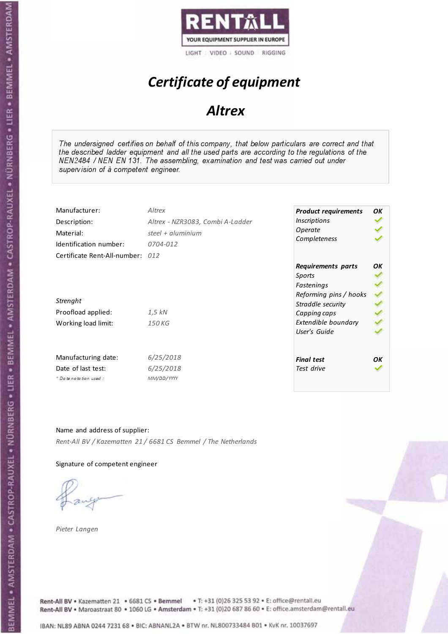

# Certificate of equipment

## **Altrex**

The undersigned certifies on behalf of this company, that below particulars are correct and that the described ladder equipment and all the used parts are according to the regulations of the NEN2484 / NEN EN 131. The assembling, examination and test was carried out under supervision of à competent engineer.

| Manufacturer:<br>Description:<br>Material:<br>Identification number: | Altrex<br>Altrex - NZR3083, Combi A-Ladder<br>steel + aluminium<br>0704-012 | <b>Product requirements</b><br><b>Inscriptions</b><br>Operate<br>Completeness | OK |
|----------------------------------------------------------------------|-----------------------------------------------------------------------------|-------------------------------------------------------------------------------|----|
| Certificate Rent-All-number: 012                                     |                                                                             | Requirements parts<br>Sports<br>Fastenings                                    | OΚ |
| Strenght                                                             |                                                                             | Reforming pins / hooks<br>Straddle security                                   |    |
| Proofload applied:                                                   | 1,5 kN                                                                      | Capping caps                                                                  |    |
| Working load limit:                                                  | 150 KG                                                                      | Extendible boundary<br>User's Guide                                           |    |
| Manufacturing date:                                                  | 6/25/2018                                                                   | <b>Final test</b>                                                             | OK |
| Date of last test:<br>+ Date notation used:                          | 6/25/2018<br>MM/DD/YYYY                                                     | Test drive                                                                    |    |
|                                                                      |                                                                             |                                                                               |    |

Name and address of supplier: Rent-All BV / Kazematten 21 / 6681 CS Bemmel / The Netherlands

Signature of competent engineer

Pieter Langen



Rent-All BV . Kazematten 21 . 6681 CS . Bemmel . T: +31 (0)26 325 53 92 . E: office@rentall.eu Rent-All BV · Maroastraat 80 · 1060 LG · Amsterdam · T: +31 (0)20 687 86 60 · E: office.amsterdam@rentall.eu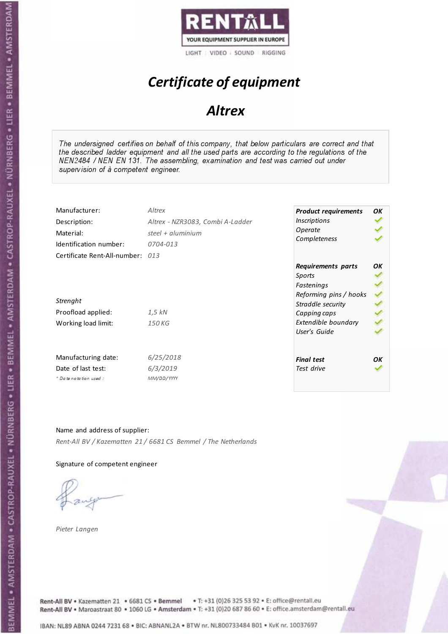

# Certificate of equipment

## **Altrex**

The undersigned certifies on behalf of this company, that below particulars are correct and that the described ladder equipment and all the used parts are according to the regulations of the NEN2484 / NEN EN 131. The assembling, examination and test was carried out under supervision of à competent engineer.

| Manufacturer:<br>Description:<br>Material:<br>Identification number: | Altrex<br>Altrex - NZR3083, Combi A-Ladder<br>steel + aluminium<br>0704-013 | <b>Product requirements</b><br><b>Inscriptions</b><br>Operate<br>Completeness | OK |
|----------------------------------------------------------------------|-----------------------------------------------------------------------------|-------------------------------------------------------------------------------|----|
| Certificate Rent-All-number: 013                                     |                                                                             | Requirements parts<br>Sports<br>Fastenings<br>Reforming pins / hooks          | OΚ |
| Strenght                                                             |                                                                             | Straddle security                                                             |    |
| Proofload applied:                                                   | 1,5 kN                                                                      | Capping caps                                                                  |    |
| Working load limit:                                                  | 150 KG                                                                      | Extendible boundary<br>User's Guide                                           |    |
| Manufacturing date:                                                  | 6/25/2018                                                                   | <b>Final test</b>                                                             | OΚ |
| Date of last test:                                                   | 6/3/2019                                                                    | Test drive                                                                    |    |
| $+$ Date notation used:                                              | MM/DD/YYYY                                                                  |                                                                               |    |

Name and address of supplier: Rent-All BV / Kazematten 21 / 6681 CS Bemmel / The Netherlands

Signature of competent engineer

Pieter Langen



Rent-All BV . Kazematten 21 . 6681 CS . Bemmel . T: +31 (0)26 325 53 92 . E: office@rentall.eu Rent-All BV · Maroastraat 80 · 1060 LG · Amsterdam · T: +31 (0)20 687 86 60 · E: office.amsterdam@rentall.eu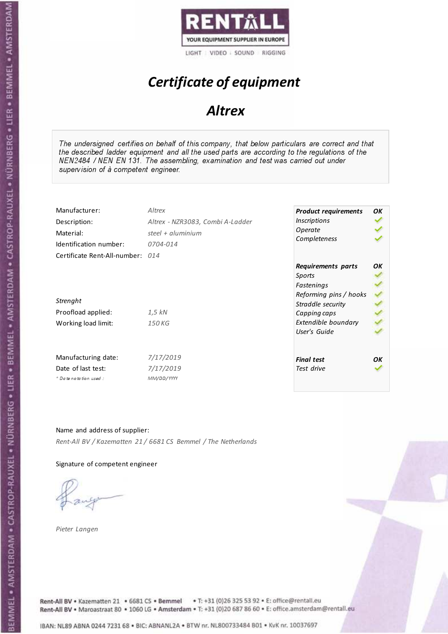

# Certificate of equipment

## **Altrex**

The undersigned certifies on behalf of this company, that below particulars are correct and that the described ladder equipment and all the used parts are according to the regulations of the NEN2484 / NEN EN 131. The assembling, examination and test was carried out under supervision of à competent engineer.

| Manufacturer:<br>Description:<br>Material:<br>Identification number: | Altrex<br>Altrex - NZR3083, Combi A-Ladder<br>steel + aluminium<br>0704-014 | <b>Product requirements</b><br><b>Inscriptions</b><br>Operate<br>Completeness | OΚ |
|----------------------------------------------------------------------|-----------------------------------------------------------------------------|-------------------------------------------------------------------------------|----|
| Certificate Rent-All-number: 014                                     |                                                                             | Requirements parts<br>Sports<br>Fastenings<br>Reforming pins / hooks          | OΚ |
| Strenght<br>Proofload applied:                                       | 1,5 kN                                                                      | Straddle security                                                             |    |
| Working load limit:                                                  | 150 KG                                                                      | Capping caps<br>Extendible boundary<br>User's Guide                           |    |
| Manufacturing date:<br>Date of last test:<br>* Date notation used :  | 7/17/2019<br>7/17/2019<br>MM/DD/YYYY                                        | <b>Final test</b><br>Test drive                                               | OΚ |

#### Name and address of supplier:

Rent-All BV / Kazematten 21 / 6681 CS Bemmel / The Netherlands

Signature of competent engineer

Pieter Langen

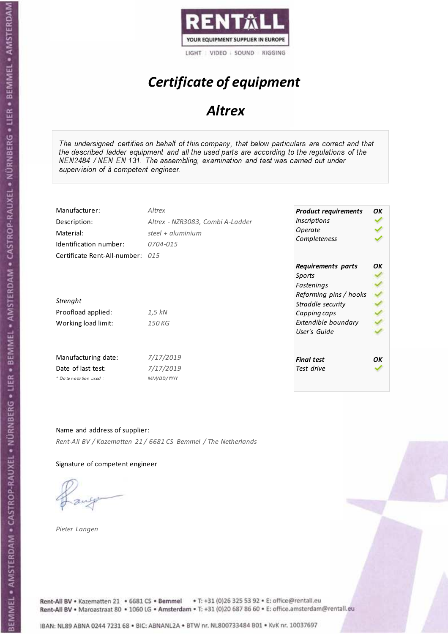

# Certificate of equipment

## **Altrex**

The undersigned certifies on behalf of this company, that below particulars are correct and that the described ladder equipment and all the used parts are according to the regulations of the NEN2484 / NEN EN 131. The assembling, examination and test was carried out under supervision of à competent engineer.

| Manufacturer:                                                                             | Altrex                           | <b>Product requirements</b>                                                                                                      | OK |
|-------------------------------------------------------------------------------------------|----------------------------------|----------------------------------------------------------------------------------------------------------------------------------|----|
| Description:                                                                              | Altrex - NZR3083, Combi A-Ladder | <b>Inscriptions</b>                                                                                                              |    |
| Material:                                                                                 | steel + aluminium                | Operate                                                                                                                          |    |
| Identification number:                                                                    | 0704-015                         | Completeness                                                                                                                     |    |
| Certificate Rent-All-number: 015<br>Strenght<br>Proofload applied:<br>Working load limit: | 1,5 kN<br>150 KG                 | Requirements parts<br>Sports<br>Fastenings<br>Reforming pins / hooks<br>Straddle security<br>Capping caps<br>Extendible boundary | OΚ |
| Manufacturing date:                                                                       | 7/17/2019                        | User's Guide                                                                                                                     | OΚ |
| Date of last test:                                                                        | 7/17/2019                        | <b>Final test</b>                                                                                                                |    |
| * Date notation used:                                                                     | MM/DD/YYYY                       | Test drive                                                                                                                       |    |

#### Name and address of supplier:

Rent-All BV / Kazematten 21 / 6681 CS Bemmel / The Netherlands

#### Signature of competent engineer

Pieter Langen

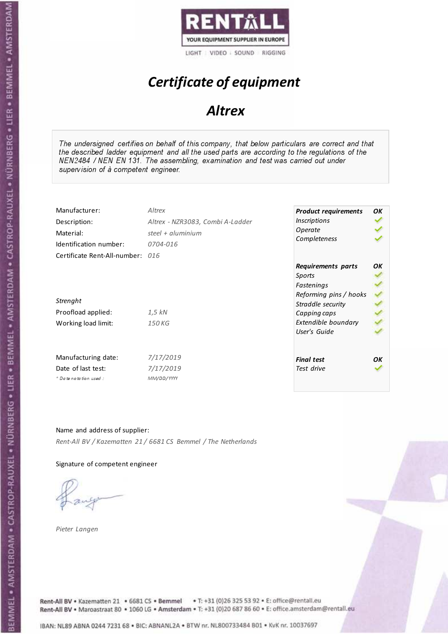

# Certificate of equipment

## **Altrex**

The undersigned certifies on behalf of this company, that below particulars are correct and that the described ladder equipment and all the used parts are according to the regulations of the NEN2484 / NEN EN 131. The assembling, examination and test was carried out under supervision of à competent engineer.

| Manufacturer:<br>Description:<br>Material:<br>Identification number: | Altrex<br>Altrex - NZR3083, Combi A-Ladder<br>steel + aluminium<br>0704-016 | <b>Product requirements</b><br><b>Inscriptions</b><br>Operate<br>Completeness                             | OΚ |
|----------------------------------------------------------------------|-----------------------------------------------------------------------------|-----------------------------------------------------------------------------------------------------------|----|
| Certificate Rent-All-number: 016<br>Strenght<br>Proofload applied:   | 1,5 kN                                                                      | Requirements parts<br>Sports<br>Fastenings<br>Reforming pins / hooks<br>Straddle security<br>Capping caps | OΚ |
| Working load limit:                                                  | 150 KG                                                                      | Extendible boundary<br>User's Guide                                                                       |    |
| Manufacturing date:<br>Date of last test:<br>* Date notation used :  | 7/17/2019<br>7/17/2019<br>MM/DD/YYYY                                        | <b>Final test</b><br>Test drive                                                                           | OΚ |

#### Name and address of supplier:

Rent-All BV / Kazematten 21 / 6681 CS Bemmel / The Netherlands

Signature of competent engineer

Pieter Langen

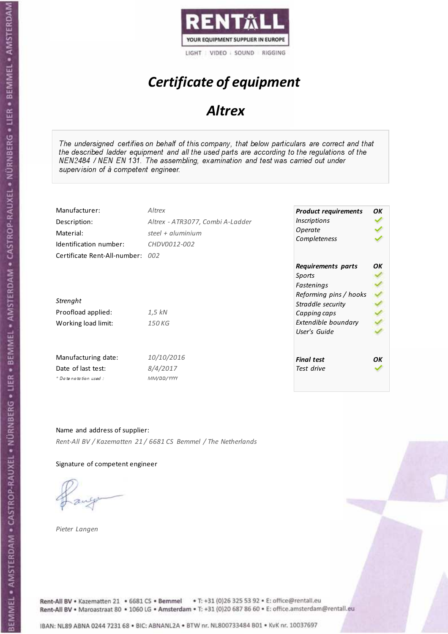

# Certificate of equipment

## **Altrex**

The undersigned certifies on behalf of this company, that below particulars are correct and that the described ladder equipment and all the used parts are according to the regulations of the NEN2484 / NEN EN 131. The assembling, examination and test was carried out under supervision of à competent engineer.

| Manufacturer:                                                                             | Altrex                           | <b>Product requirements</b>                                                                                                      | OK |
|-------------------------------------------------------------------------------------------|----------------------------------|----------------------------------------------------------------------------------------------------------------------------------|----|
| Description:                                                                              | Altrex - ATR3077, Combi A-Ladder | <b>Inscriptions</b>                                                                                                              |    |
| Material:                                                                                 | steel + aluminium                | Operate                                                                                                                          |    |
| Identification number:                                                                    | CHDV0012-002                     | Completeness                                                                                                                     |    |
| Certificate Rent-All-number: 002<br>Strenght<br>Proofload applied:<br>Working load limit: | 1,5 kN<br>150 KG                 | Requirements parts<br>Sports<br>Fastenings<br>Reforming pins / hooks<br>Straddle security<br>Capping caps<br>Extendible boundary | OK |
| Manufacturing date:                                                                       | 10/10/2016                       | User's Guide                                                                                                                     | OK |
| Date of last test:                                                                        | 8/4/2017                         | <b>Final test</b>                                                                                                                |    |
| + Date notation used:                                                                     | MM/DD/YYYY                       | Test drive                                                                                                                       |    |

Name and address of supplier: Rent-All BV / Kazematten 21 / 6681 CS Bemmel / The Netherlands

Signature of competent engineer

Pieter Langen



Rent-All BV . Kazematten 21 . 6681 CS . Bemmel . T: +31 (0)26 325 53 92 . E: office@rentall.eu Rent-All BV · Maroastraat 80 · 1060 LG · Amsterdam · T: +31 (0)20 687 86 60 · E: office.amsterdam@rentall.eu